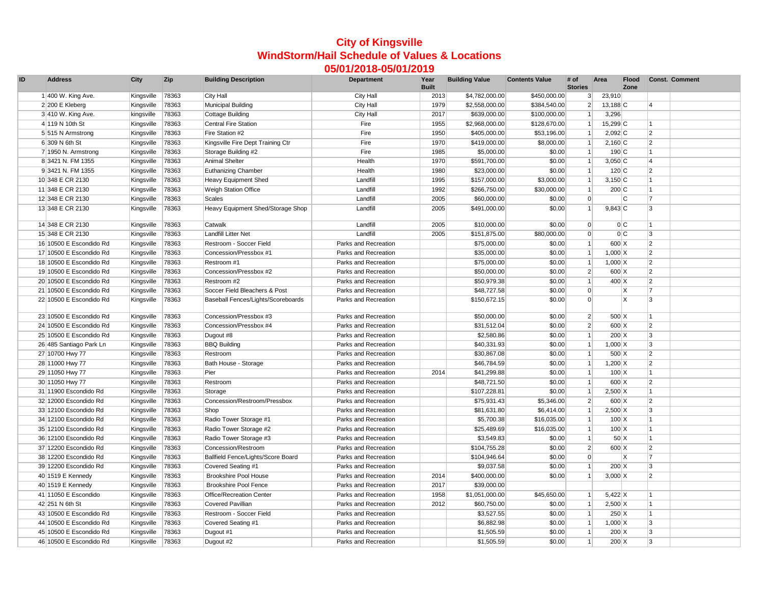## **City of Kingsville WindStorm/Hail Schedule of Values & Locations 05/01/2018-05/01/2019**

| ID | <b>Address</b>          | City       | Zip   | <b>Building Description</b>        | Department           | Year<br><b>Built</b> | <b>Building Value</b> | <b>Contents Value</b> | # of<br><b>Stories</b> | Area              | <b>Flood</b><br>Zone |                         | <b>Const. Comment</b> |
|----|-------------------------|------------|-------|------------------------------------|----------------------|----------------------|-----------------------|-----------------------|------------------------|-------------------|----------------------|-------------------------|-----------------------|
|    | 1 400 W. King Ave.      | Kingsville | 78363 | <b>City Hall</b>                   | <b>City Hall</b>     | 2013                 | \$4,782,000.00        | \$450,000.00          | $\mathbf{3}$           | 23,910            |                      |                         |                       |
|    | 2 200 E Kleberg         | Kingsville | 78363 | <b>Municipal Building</b>          | City Hall            | 1979                 | \$2,558,000.00        | \$384,540.00          | $\overline{2}$         | $13,188$ C        |                      | $\overline{\mathbf{A}}$ |                       |
|    | 3 410 W. King Ave.      | kingsville | 78363 | <b>Cottage Building</b>            | City Hall            | 2017                 | \$639,000.00          | \$100,000.00          | $\overline{1}$         | 3,296             |                      |                         |                       |
|    | 4 119 N 10th St         | Kingsville | 78363 | <b>Central Fire Station</b>        | Fire                 | 1955                 | \$2,968,000.00        | \$128,670.00          |                        | 15,299 C          |                      | 11                      |                       |
|    | 5 515 N Armstrong       | Kingsville | 78363 | Fire Station #2                    | Fire                 | 1950                 | \$405,000.00          | \$53,196.00           | $\overline{1}$         | $2,092$ C         |                      | $\overline{2}$          |                       |
|    | 6 309 N 6th St          | Kingsville | 78363 | Kingsville Fire Dept Training Ctr  | Fire                 | 1970                 | \$419,000.00          | \$8,000.00            | $\overline{1}$         | $2,160$ C         |                      | $\overline{2}$          |                       |
|    | 7 1950 N. Armstrong     | Kingsville | 78363 | Storage Building #2                | Fire                 | 1985                 | \$5,000.00            | \$0.00                | $\overline{1}$         | 190C              |                      | $\overline{1}$          |                       |
|    | 8 3421 N. FM 1355       | Kingsville | 78363 | <b>Animal Shelter</b>              | Health               | 1970                 | \$591,700.00          | \$0.00                | $\overline{1}$         | $3,050$ C         |                      | $\overline{\mathbf{A}}$ |                       |
|    | 9 3421 N. FM 1355       | Kingsville | 78363 | <b>Euthanizing Chamber</b>         | Health               | 1980                 | \$23,000.00           | \$0.00                | $\vert$ 1              | $120$ C           |                      | $\overline{2}$          |                       |
|    | 10 348 E CR 2130        | Kingsville | 78363 | <b>Heavy Equipment Shed</b>        | Landfill             | 1995                 | \$157,000.00          | \$3,000.00            | $\overline{1}$         | $3,150$ C         |                      | 1                       |                       |
|    | 11 348 E CR 2130        | Kingsville | 78363 | <b>Weigh Station Office</b>        | Landfill             | 1992                 | \$266,750.00          | \$30,000.00           | $\vert$ 1              | 200C              |                      | $\overline{1}$          |                       |
|    | 12 348 E CR 2130        | Kingsville | 78363 | <b>Scales</b>                      | Landfill             | 2005                 | \$60,000.00           | \$0.00                | $\overline{0}$         |                   | lC.                  | $\overline{7}$          |                       |
|    | 13 348 E CR 2130        | Kingsville | 78363 | Heavy Equipment Shed/Storage Shop  | Landfill             | 2005                 | \$491,000.00          | \$0.00                | $\vert$ 1              | $9,843$ C         |                      | 3                       |                       |
|    |                         |            |       |                                    |                      |                      |                       |                       |                        |                   |                      |                         |                       |
|    | 14 348 E CR 2130        | Kingsville | 78363 | Catwalk                            | Landfill             | 2005                 | \$10,000.00           | \$0.00                | $\overline{0}$         |                   | 0C                   | 11                      |                       |
|    | 15 348 E CR 2130        | Kingsville | 78363 | Landfill Litter Net                | Landfill             | 2005                 | \$151,875.00          | \$80,000.00           | $\mathbf 0$            |                   | 0C                   | 3                       |                       |
|    | 16 10500 E Escondido Rd | Kingsville | 78363 | Restroom - Soccer Field            | Parks and Recreation |                      | \$75,000.00           | \$0.00                | $\overline{1}$         | 600 X             |                      | $\overline{2}$          |                       |
|    | 17 10500 E Escondido Rd | Kingsville | 78363 | Concession/Pressbox #1             | Parks and Recreation |                      | \$35,000.00           | \$0.00                | $\vert$ 1              | $1,000 \,   X$    |                      | $\overline{2}$          |                       |
|    | 18 10500 E Escondido Rd | Kingsville | 78363 | Restroom #1                        | Parks and Recreation |                      | \$75,000.00           | \$0.00                | $\vert$ 1              | $1,000 \,   X$    |                      | $\overline{2}$          |                       |
|    | 19 10500 E Escondido Rd | Kingsville | 78363 | Concession/Pressbox #2             | Parks and Recreation |                      | \$50,000.00           | \$0.00                | $\overline{2}$         | 600 X             |                      | $\overline{2}$          |                       |
|    | 20 10500 E Escondido Rd | Kingsville | 78363 | Restroom #2                        | Parks and Recreation |                      | \$50,979.38           | \$0.00                | $\vert$ 1              | 400 X             |                      | $\overline{2}$          |                       |
|    | 21 10500 E Escondido Rd | Kingsville | 78363 | Soccer Field Bleachers & Post      | Parks and Recreation |                      | \$48,727.58           | \$0.00                | $\overline{0}$         |                   | ΙX                   | 7                       |                       |
|    | 22 10500 E Escondido Rd | Kingsville | 78363 | Baseball Fences/Lights/Scoreboards | Parks and Recreation |                      | \$150,672.15          | \$0.00                | $\Omega$               |                   | ΙX                   | 3                       |                       |
|    |                         |            |       |                                    |                      |                      |                       |                       |                        |                   |                      |                         |                       |
|    | 23 10500 E Escondido Rd | Kingsville | 78363 | Concession/Pressbox #3             | Parks and Recreation |                      | \$50,000.00           | \$0.00                | $\overline{2}$         | 500 X             |                      | 1                       |                       |
|    | 24 10500 E Escondido Rd | Kingsville | 78363 | Concession/Pressbox #4             | Parks and Recreation |                      | \$31,512.04           | \$0.00                | $\overline{2}$         | 600X              |                      | $\overline{2}$          |                       |
|    | 25 10500 E Escondido Rd | Kingsville | 78363 | Dugout #8                          | Parks and Recreation |                      | \$2,580.86            | \$0.00                | $\vert$ 1              | $200 \, \text{X}$ |                      | 3                       |                       |
|    | 26 485 Santiago Park Ln | Kingsville | 78363 | <b>BBQ Building</b>                | Parks and Recreation |                      | \$40,331.93           | \$0.00                | $\overline{1}$         | $1,000 \,   X$    |                      | $\overline{3}$          |                       |
|    | 27 10700 Hwy 77         | Kingsville | 78363 | Restroom                           | Parks and Recreation |                      | \$30,867.08           | \$0.00                | $\vert$ 1              | 500 X             |                      | $\overline{2}$          |                       |
|    | 28 11000 Hwy 77         | Kingsville | 78363 | Bath House - Storage               | Parks and Recreation |                      | \$46,784.59           | \$0.00                | $\vert$ 1              | $1,200 \, X$      |                      | $\overline{2}$          |                       |
|    | 29 11050 Hwy 77         | Kingsville | 78363 | Pier                               | Parks and Recreation | 2014                 | \$41,299.88           | \$0.00                | $\vert$ 1              | $100 \, \text{X}$ |                      | 1                       |                       |
|    | 30 11050 Hwy 77         | Kingsville | 78363 | Restroom                           | Parks and Recreation |                      | \$48,721.50           | \$0.00                | $\vert$ 1              | 600 X             |                      | $\overline{2}$          |                       |
|    | 31 11900 Escondido Rd   | Kingsville | 78363 | Storage                            | Parks and Recreation |                      | \$107,228.81          | \$0.00                | $\vert$ 1              | $2,500 \, X$      |                      | 1                       |                       |
|    | 32 12000 Escondido Rd   | Kingsville | 78363 | Concession/Restroom/Pressbox       | Parks and Recreation |                      | \$75,931.43           | \$5,346.00            | $\overline{2}$         | 600 X             |                      | $\overline{2}$          |                       |
|    | 33 12100 Escondido Rd   | Kingsville | 78363 | Shop                               | Parks and Recreation |                      | \$81,631.80           | \$6,414.00            | $\overline{1}$         | $2,500$ X         |                      | $\mathbf{3}$            |                       |
|    | 34 12100 Escondido Rd   | Kingsville | 78363 | Radio Tower Storage #1             | Parks and Recreation |                      | \$5,700.38            | \$16,035.00           | $\overline{1}$         | $100 \, \text{X}$ |                      |                         |                       |
|    | 35 12100 Escondido Rd   | Kingsville | 78363 | Radio Tower Storage #2             | Parks and Recreation |                      | \$25,489.69           | \$16,035.00           | $\overline{1}$         | $100 \, \text{X}$ |                      | 1                       |                       |
|    | 36 12100 Escondido Rd   | Kingsville | 78363 | Radio Tower Storage #3             | Parks and Recreation |                      | \$3,549.83            | \$0.00                | $\vert$ 1              | 50X               |                      | 1                       |                       |
|    | 37 12200 Escondido Rd   | Kingsville | 78363 | Concession/Restroom                | Parks and Recreation |                      | \$104,755.28          | \$0.00                | $\overline{2}$         | 600 X             |                      | $\overline{2}$          |                       |
|    | 38 12200 Escondido Rd   | Kingsville | 78363 | Ballfield Fence/Lights/Score Board | Parks and Recreation |                      | \$104,946.64          | \$0.00                | $\overline{0}$         |                   | ΙX                   | $\overline{7}$          |                       |
|    | 39 12200 Escondido Rd   | Kingsville | 78363 | Covered Seating #1                 | Parks and Recreation |                      | \$9,037.58            | \$0.00                | $\overline{1}$         | $200 \, \text{X}$ |                      | 3                       |                       |
|    | 40 1519 E Kennedy       | Kingsville | 78363 | <b>Brookshire Pool House</b>       | Parks and Recreation | 2014                 | \$400,000.00          | \$0.00                | $\vert$ 1              | $3,000 \vert X$   |                      | $\overline{2}$          |                       |
|    | 40 1519 E Kennedy       | Kingsville | 78363 | <b>Brookshire Pool Fence</b>       | Parks and Recreation | 2017                 | \$39,000.00           |                       |                        |                   |                      |                         |                       |
|    | 41 11050 E Escondido    | Kingsville | 78363 | Office/Recreation Center           | Parks and Recreation | 1958                 | \$1,051,000.00        | \$45,650.00           | $\overline{1}$         | $5,422$ X         |                      | 1                       |                       |
|    | 42 251 N 6th St         | Kingsville | 78363 | <b>Covered Pavillian</b>           | Parks and Recreation | 2012                 | \$60,750.00           | \$0.00                | $\overline{1}$         | $2,500$ X         |                      | 11                      |                       |
|    | 43 10500 E Escondido Rd | Kingsville | 78363 | Restroom - Soccer Field            | Parks and Recreation |                      | \$3,527.55            | \$0.00                | $\overline{1}$         | $250$ X           |                      | $\overline{1}$          |                       |
|    | 44 10500 E Escondido Rd | Kingsville | 78363 | Covered Seating #1                 | Parks and Recreation |                      | \$6,882.98            | \$0.00                | $\overline{1}$         | $1,000 \,   X$    |                      | 3                       |                       |
|    | 45 10500 E Escondido Rd | Kingsville | 78363 | Dugout #1                          | Parks and Recreation |                      | \$1,505.59            | \$0.00                | $\overline{1}$         | $200 \, \text{X}$ |                      | 3                       |                       |
|    | 46 10500 E Escondido Rd | Kingsville | 78363 | Dugout #2                          | Parks and Recreation |                      | \$1,505.59            | \$0.00                | $\overline{1}$         | $200 \times$      |                      | 3                       |                       |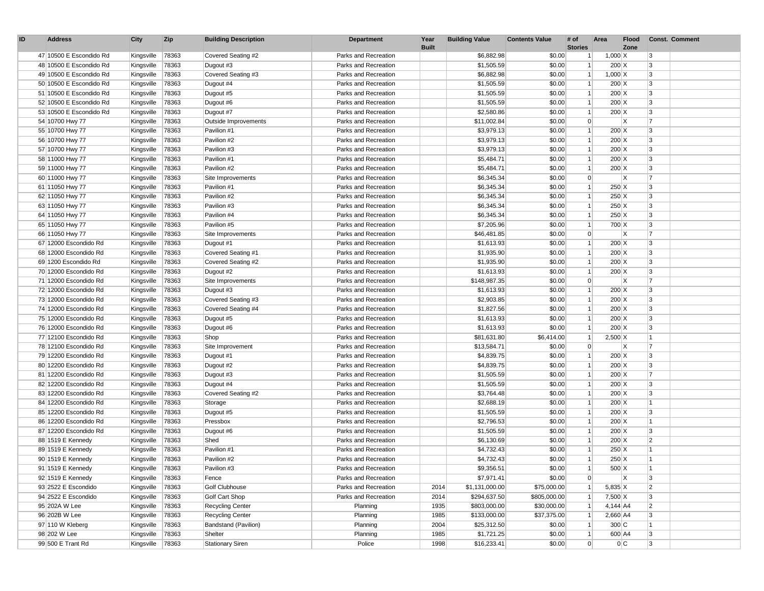| ID | <b>Address</b>          | City             | Zip   | <b>Building Description</b> | Department           | Year<br><b>Built</b> | <b>Building Value</b> | <b>Contents Value</b> | # of<br><b>Stories</b> | Area               | <b>Flood</b><br>Zone |                | <b>Const. Comment</b> |
|----|-------------------------|------------------|-------|-----------------------------|----------------------|----------------------|-----------------------|-----------------------|------------------------|--------------------|----------------------|----------------|-----------------------|
|    | 47 10500 E Escondido Rd | Kingsville       | 78363 | Covered Seating #2          | Parks and Recreation |                      | \$6,882.98            | \$0.00                | $\vert$ 1              | $1,000 \,   X$     |                      | 3              |                       |
|    | 48 10500 E Escondido Rd | Kingsville       | 78363 | Dugout #3                   | Parks and Recreation |                      | \$1,505.59            | \$0.00                | $\mathbf{1}$           | $200 \, \text{X}$  |                      | 3              |                       |
|    | 49 10500 E Escondido Rd | Kingsville       | 78363 | Covered Seating #3          | Parks and Recreation |                      | \$6,882.98            | \$0.00                | $\vert$ 1              | $1,000 \,   X$     |                      | 3              |                       |
|    | 50 10500 E Escondido Rd | Kingsville       | 78363 | Dugout #4                   | Parks and Recreation |                      | \$1.505.59            | \$0.00                | $\vert$ 1              | $200 \, \text{X}$  |                      | 3              |                       |
|    | 51 10500 E Escondido Rd | Kingsville       | 78363 | Dugout #5                   | Parks and Recreation |                      | \$1,505.59            | \$0.00                | $\vert$ 1              | $200 \, \text{X}$  |                      | 3              |                       |
|    | 52 10500 E Escondido Rd | Kingsville       | 78363 | Dugout #6                   | Parks and Recreation |                      | \$1,505.59            | \$0.00                | $\mathbf{1}$           | $200 \, \text{X}$  |                      | 3              |                       |
|    | 53 10500 E Escondido Rd | Kingsville       | 78363 | Dugout #7                   | Parks and Recreation |                      | \$2,580.86            | \$0.00                | $\vert$ 1              | $200 \, \text{X}$  |                      | 3              |                       |
|    | 54 10700 Hwy 77         | Kingsville       | 78363 | Outside Improvements        | Parks and Recreation |                      | \$11,002.84           | \$0.00                | $\overline{0}$         |                    | ΙX                   | 7              |                       |
|    | 55 10700 Hwy 77         | Kingsville       | 78363 | Pavilion #1                 | Parks and Recreation |                      | \$3,979.13            | \$0.00                | $\mathbf{1}$           | $200 \, \text{X}$  |                      | 3              |                       |
|    | 56 10700 Hwy 77         | Kingsville       | 78363 | Pavilion #2                 | Parks and Recreation |                      | \$3,979.13            | \$0.00                | $\mathbf{1}$           | $200 \, \text{X}$  |                      | 3              |                       |
|    | 57 10700 Hwy 77         | Kingsville       | 78363 | Pavilion #3                 | Parks and Recreation |                      | \$3,979.13            | \$0.00                | $\mathbf{1}$           | $200 \, \text{X}$  |                      | 3              |                       |
|    | 58 11000 Hwy 77         | Kingsville       | 78363 | Pavilion #1                 | Parks and Recreation |                      | \$5,484.71            | \$0.00                | $\vert$ 1              | $200 \, \text{X}$  |                      | 3              |                       |
|    | 59 11000 Hwy 77         | Kingsville       | 78363 | Pavilion #2                 | Parks and Recreation |                      | \$5,484.71            | \$0.00                | 1                      | $200 \, \text{X}$  |                      | 3              |                       |
|    | 60 11000 Hwy 77         | Kingsville       | 78363 | Site Improvements           | Parks and Recreation |                      | \$6,345.34            | \$0.00                | $\overline{0}$         |                    | X                    | 7              |                       |
|    | 61 11050 Hwy 77         | Kingsville       | 78363 | Pavilion #1                 | Parks and Recreation |                      | \$6,345.34            | \$0.00                |                        | $250 \text{ X}$    |                      | 3              |                       |
|    | 62 11050 Hwy 77         | Kingsville       | 78363 | Pavilion #2                 | Parks and Recreation |                      | \$6,345.34            | \$0.00                | 1 <sup>1</sup>         | $250 \text{ X}$    |                      | 3              |                       |
|    | 63 11050 Hwy 77         | Kingsville       | 78363 | Pavilion #3                 | Parks and Recreation |                      | \$6,345.34            | \$0.00                | $\mathbf{1}$           | $250 \text{ X}$    |                      | 3              |                       |
|    | 64 11050 Hwy 77         | Kingsville       | 78363 | Pavilion #4                 | Parks and Recreation |                      | \$6,345.34            | \$0.00                | 1 <sup>1</sup>         | $250$ X            |                      | 3              |                       |
|    | 65 11050 Hwy 77         | Kingsville       | 78363 | Pavilion #5                 | Parks and Recreation |                      | \$7,205.96            | \$0.00                | $\mathbf{1}$           | 700 X              |                      | 3              |                       |
|    | 66 11050 Hwy 77         | Kingsville       | 78363 | Site Improvements           | Parks and Recreation |                      | \$46,481.85           | \$0.00                | $\overline{0}$         |                    | ΙX                   | 7              |                       |
|    | 67 12000 Escondido Rd   | Kingsville       | 78363 | Dugout #1                   | Parks and Recreation |                      | \$1,613.93            | \$0.00                | $\mathbf{1}$           | $200 \, \text{X}$  |                      | 3              |                       |
|    | 68 12000 Escondido Rd   | Kingsville       | 78363 | Covered Seating #1          | Parks and Recreation |                      | \$1,935.90            | \$0.00                | $\mathbf{1}$           | $200 \, \text{X}$  |                      | 3              |                       |
|    | 69 1200 Escondido Rd    | Kingsville       | 78363 | Covered Seating #2          | Parks and Recreation |                      | \$1,935.90            | \$0.00                | $\mathbf{1}$           | $200 \, \text{X}$  |                      | 3              |                       |
|    | 70 12000 Escondido Rd   | Kingsville       | 78363 | Dugout #2                   | Parks and Recreation |                      | \$1,613.93            | \$0.00                | 1 <sup>1</sup>         | $200 \, \text{X}$  |                      | 3              |                       |
|    | 71 12000 Escondido Rd   | Kingsville       | 78363 | Site Improvements           | Parks and Recreation |                      | \$148,987.35          | \$0.00                | $\overline{0}$         |                    | X                    | 7              |                       |
|    | 72 12000 Escondido Rd   | Kingsville       | 78363 | Dugout #3                   | Parks and Recreation |                      | \$1,613.93            | \$0.00                | $\mathbf{1}$           | $200 \, \text{X}$  |                      | 3              |                       |
|    | 73 12000 Escondido Rd   | Kingsville       | 78363 | Covered Seating #3          | Parks and Recreation |                      | \$2,903.85            | \$0.00                | $\mathbf{1}$           | $200 \, \text{X}$  |                      | 3              |                       |
|    | 74 12000 Escondido Rd   | Kingsville       | 78363 | Covered Seating #4          | Parks and Recreation |                      | \$1,827.56            | \$0.00                | $\vert$ 1              | $200 \, \text{X}$  |                      | 3              |                       |
|    | 75 12000 Escondido Rd   | Kingsville       | 78363 | Dugout #5                   | Parks and Recreation |                      | \$1,613.93            | \$0.00                | $\vert$ 1              | $200 \, \text{X}$  |                      | 3              |                       |
|    | 76 12000 Escondido Rd   | Kingsville       | 78363 | Dugout #6                   | Parks and Recreation |                      | \$1,613.93            | \$0.00                | $\mathbf{1}$           | $200 \, \text{X}$  |                      | 3              |                       |
|    | 77 12100 Escondido Rd   | Kingsville       | 78363 | Shop                        | Parks and Recreation |                      | \$81,631.80           | \$6,414.00            | $\mathbf{1}$           | $2,500 \,   X$     |                      | 1              |                       |
|    | 78 12100 Escondido Rd   | Kingsville       | 78363 | Site Improvement            | Parks and Recreation |                      | \$13,584.71           | \$0.00                | $\overline{0}$         |                    | X                    | 17             |                       |
|    | 79 12200 Escondido Rd   | Kingsville       | 78363 | Dugout #1                   | Parks and Recreation |                      | \$4,839.75            | \$0.00                | $\vert$ 1              | $200 \, \text{X}$  |                      | 3              |                       |
|    | 80 12200 Escondido Rd   | Kingsville       | 78363 | Dugout #2                   | Parks and Recreation |                      | \$4,839.75            | \$0.00                | $\vert$ 1              | $200 \, \text{X}$  |                      | 3              |                       |
|    | 81 12200 Escondido Rd   | Kingsville       | 78363 | Dugout #3                   | Parks and Recreation |                      | \$1,505.59            | \$0.00                | $\mathbf{1}$           | $200 \, \text{X}$  |                      | $\overline{7}$ |                       |
|    | 82 12200 Escondido Rd   | Kingsville       | 78363 | Dugout #4                   | Parks and Recreation |                      | \$1,505.59            | \$0.00                | $\mathbf{1}$           | $200 \, \text{X}$  |                      | 3              |                       |
|    | 83 12200 Escondido Rd   | Kingsville       | 78363 | Covered Seating #2          | Parks and Recreation |                      | \$3,764.48            | \$0.00                | 1                      | $200 \, \text{X}$  |                      | 3              |                       |
|    | 84 12200 Escondido Rd   | Kingsville       | 78363 | Storage                     | Parks and Recreation |                      | \$2,688.19            | \$0.00                | $\vert$ 1              | $200 \, \text{X}$  |                      | 1              |                       |
|    | 85 12200 Escondido Rd   | Kingsville       | 78363 | Dugout #5                   | Parks and Recreation |                      | \$1,505.59            | \$0.00                | 1 <sup>1</sup>         | $200 \, \text{X}$  |                      | 3              |                       |
|    | 86 12200 Escondido Rd   | Kingsville       | 78363 | Pressbox                    | Parks and Recreation |                      | \$2,796.53            | \$0.00                | 1 <sup>1</sup>         | $200 \, \text{X}$  |                      | 11.            |                       |
|    | 87 12200 Escondido Rd   | Kingsville       | 78363 | Dugout #6                   | Parks and Recreation |                      | \$1,505.59            | \$0.00                | 1                      | $200 \, \text{X}$  |                      | 3              |                       |
|    | 88 1519 E Kennedy       | Kingsville       | 78363 | Shed                        | Parks and Recreation |                      | \$6,130.69            | \$0.00                | 1 <sup>1</sup>         | $200 \, \text{X}$  |                      | 2              |                       |
|    | 89 1519 E Kennedy       | Kingsville       | 78363 | Pavilion #1                 | Parks and Recreation |                      | \$4,732.43            | \$0.00                |                        | $250$ X            |                      | 1              |                       |
|    | 90 1519 E Kennedy       | Kingsville       | 78363 | Pavilion #2                 | Parks and Recreation |                      | \$4,732.43            | \$0.00                |                        | $250$ X            |                      | 1              |                       |
|    | 91 1519 E Kennedy       | Kingsville 78363 |       | Pavilion #3                 | Parks and Recreation |                      | \$9,356.51            | \$0.00                |                        | $500 \, \text{X}$  |                      |                |                       |
|    | 92 1519 E Kennedy       | Kingsville 78363 |       | Fence                       | Parks and Recreation |                      | \$7,971.41            | \$0.00                | 0                      |                    | $\mathsf{X}$         | 3              |                       |
|    | 93 2522 E Escondido     | Kingsville       | 78363 | Golf Clubhouse              | Parks and Recreation | 2014                 | \$1,131,000.00        | \$75,000.00           |                        | $5,835$ X          |                      | $\overline{2}$ |                       |
|    | 94 2522 E Escondido     | Kingsville       | 78363 | Golf Cart Shop              | Parks and Recreation | 2014                 | \$294,637.50          | \$805,000.00          |                        | $7,500 \, \vert X$ |                      | 3              |                       |
|    | 95 202A W Lee           | Kingsville       | 78363 | <b>Recycling Center</b>     | Planning             | 1935                 | \$803,000.00          | \$30,000.00           | $\vert$ 1              | $4,144$ A4         |                      | $\overline{2}$ |                       |
|    | 96 202B W Lee           | Kingsville       | 78363 | <b>Recycling Center</b>     | Planning             | 1985                 | \$133,000.00          | \$37,375.00           | 1                      | 2,660 A4           |                      | 3              |                       |
|    | 97 110 W Kleberg        | Kingsville       | 78363 | Bandstand (Pavilion)        | Planning             | 2004                 | \$25,312.50           | \$0.00                | $\vert$ 1              | 300 C              |                      | $\vert$ 1      |                       |
|    | 98 202 W Lee            | Kingsville       | 78363 | Shelter                     | Planning             | 1985                 | \$1,721.25            | \$0.00                | 1                      |                    | 600 A4               | 3              |                       |
|    | 99 500 E Trant Rd       | Kingsville 78363 |       | <b>Stationary Siren</b>     | Police               | 1998                 | \$16,233.41           | \$0.00                | $\overline{0}$         |                    | 0C                   | 3              |                       |
|    |                         |                  |       |                             |                      |                      |                       |                       |                        |                    |                      |                |                       |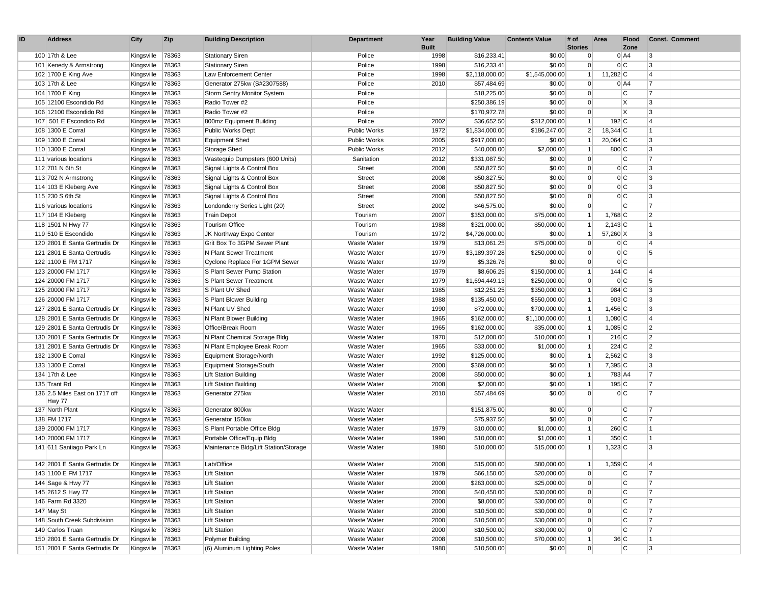| ID | <b>Address</b>                                   | City                     | <b>Zip</b>     | <b>Building Description</b>                                | Department          | Year<br><b>Built</b> | <b>Building Value</b> | <b>Contents Value</b>  | # of<br><b>Stories</b> | Area        | Flood<br>Zone  |                | <b>Const. Comment</b> |
|----|--------------------------------------------------|--------------------------|----------------|------------------------------------------------------------|---------------------|----------------------|-----------------------|------------------------|------------------------|-------------|----------------|----------------|-----------------------|
|    | 100 17th & Lee                                   | Kingsville               | 78363          | <b>Stationary Siren</b>                                    | Police              | 1998                 | \$16,233.41           | \$0.00                 | $\overline{0}$         |             | 0 A4           | 3              |                       |
|    | 101 Kenedy & Armstrong                           | Kingsville               | 78363          | <b>Stationary Siren</b>                                    | Police              | 1998                 | \$16,233.41           | \$0.00                 | $\Omega$               |             | 0C             | 3              |                       |
|    | 102 1700 E King Ave                              | Kingsville               | 78363          | Law Enforcement Center                                     | Police              | 1998                 | \$2,118,000.00        | \$1,545,000.00         | 1                      | 11,282 C    |                | $\overline{4}$ |                       |
|    | 103 17th & Lee                                   | Kingsville               | 78363          | Generator 275kw (S#2307588)                                | Police              | 2010                 | \$57,484.69           | \$0.00                 | $\Omega$               |             | $0$ A4         | 7              |                       |
|    | 104 1700 E King                                  |                          | 78363          | Storm Sentry Monitor System                                | Police              |                      | \$18,225.00           | \$0.00                 | $\Omega$               |             | C              | 7              |                       |
|    | 105 12100 Escondido Rd                           | Kingsville               | 78363          | Radio Tower #2                                             | Police              |                      | \$250,386.19          | \$0.00                 | $\Omega$               |             | X.             | 3              |                       |
|    |                                                  | Kingsville               |                | Radio Tower #2                                             | Police              |                      | \$170,972.78          |                        | $\overline{0}$         |             | ΙX             | 3              |                       |
|    | 106 12100 Escondido Rd<br>107 501 E Escondido Rd | Kingsville               | 78363<br>78363 | 800mz Equipment Building                                   | Police              | 2002                 | \$36,652.50           | \$0.00<br>\$312,000.00 | 1 <sup>1</sup>         | $192$ C     |                | 4              |                       |
|    | 108 1300 E Corral                                | Kingsville<br>Kingsville | 78363          | Public Works Dept                                          | Public Works        | 1972                 | \$1,834,000.00        | \$186,247.00           | $\overline{2}$         | 18,344 C    |                | $\overline{1}$ |                       |
|    | 109 1300 E Corral                                | Kingsville               | 78363          | <b>Equipment Shed</b>                                      | Public Works        | 2005                 | \$917,000.00          | \$0.00                 |                        | $20,064$ C  |                | 3              |                       |
|    | 110 1300 E Corral                                | Kingsville               | 78363          | Storage Shed                                               | <b>Public Works</b> | 2012                 | \$40,000.00           | \$2,000.00             | $\mathbf{1}$           | 800 C       |                | 3              |                       |
|    | 111 various locations                            | Kingsville               | 78363          | Wastequip Dumpsters (600 Units)                            | Sanitation          | 2012                 | \$331,087.50          | \$0.00                 | $\overline{0}$         |             | lC.            | $\overline{7}$ |                       |
|    | 112 701 N 6th St                                 |                          | 78363          | Signal Lights & Control Box                                | Street              | 2008                 | \$50,827.50           | \$0.00                 | $\overline{0}$         |             | 0C             | 3              |                       |
|    | 113 702 N Armstrong                              | Kingsville               | 78363          | Signal Lights & Control Box                                | <b>Street</b>       | 2008                 | \$50,827.50           | \$0.00                 | $\Omega$               |             | 0 C            | 3              |                       |
|    | 114 103 E Kleberg Ave                            | Kingsville               | 78363          |                                                            | Street              | 2008                 | \$50,827.50           | \$0.00                 | $\Omega$               |             | 0C             | 3              |                       |
|    | 115 230 S 6th St                                 | Kingsville               | 78363          | Signal Lights & Control Box<br>Signal Lights & Control Box | Street              | 2008                 | \$50,827.50           | \$0.00                 | $\Omega$               |             | 0C             | 3              |                       |
|    |                                                  | Kingsville               |                |                                                            |                     | 2002                 | \$46,575.00           | \$0.00                 | $\Omega$               |             | lC.            | $\overline{7}$ |                       |
|    | 116 various locations                            | Kingsville               | 78363          | Londonderry Series Light (20)                              | <b>Street</b>       | 2007                 |                       |                        | 1                      |             |                | $\overline{2}$ |                       |
|    | 117 104 E Kleberg                                | Kingsville               | 78363          | <b>Train Depot</b>                                         | Tourism             |                      | \$353,000.00          | \$75,000.00            |                        | 1,768 $C$   |                |                |                       |
|    | 118 1501 N Hwy 77                                | Kingsville               | 78363          | <b>Tourism Office</b>                                      | Tourism             | 1988                 | \$321,000.00          | \$50,000.00            | 1                      | $2,143$ C   |                | $\overline{1}$ |                       |
|    | 119 510 E Escondido                              | Kingsville               | 78363          | JK Northway Expo Center                                    | Tourism             | 1972                 | \$4,726,000.00        | \$0.00                 | 1 <sup>1</sup>         | 57,260 X    |                | 3              |                       |
|    | 120 2801 E Santa Gertrudis Dr                    | Kingsville               | 78363          | Grit Box To 3GPM Sewer Plant                               | Waste Water         | 1979                 | \$13,061.25           | \$75,000.00            | $\Omega$<br>$\Omega$   |             | 0C             | 4              |                       |
|    | 121 2801 E Santa Gertrudis                       | Kingsville               | 78363          | N Plant Sewer Treatment                                    | Waste Water         | 1979                 | \$3,189,397.28        | \$250,000.00           |                        |             | 0 C            | 5              |                       |
|    | 122 1100 E FM 1717                               | Kingsville               | 78363          | Cyclone Replace For 1GPM Sewer                             | Waste Water         | 1979                 | \$5,326.76            | \$0.00                 | $\Omega$               |             | 0C             |                |                       |
|    | 123 20000 FM 1717                                | Kingsville               | 78363          | S Plant Sewer Pump Station                                 | Waste Water         | 1979                 | \$8,606.25            | \$150,000.00           | 1                      | 144C        |                | $\overline{4}$ |                       |
|    | 124 20000 FM 1717                                | Kingsville               | 78363          | S Plant Sewer Treatment                                    | Waste Water         | 1979                 | \$1,694,449.13        | \$250,000.00           | $\Omega$               |             | 0 C            | 5              |                       |
|    | 125 20000 FM 1717                                | Kingsville               | 78363          | S Plant UV Shed                                            | Waste Water         | 1985                 | \$12,251.25           | \$350,000.00           | 1                      | 984 C       |                | 3              |                       |
|    | 126 20000 FM 1717                                | Kingsville               | 78363          | S Plant Blower Building                                    | Waste Water         | 1988                 | \$135,450.00          | \$550,000.00           |                        | $903$ C     |                | 3              |                       |
|    | 127 2801 E Santa Gertrudis Dr                    | Kingsville               | 78363          | N Plant UV Shed                                            | Waste Water         | 1990                 | \$72,000.00           | \$700,000.00           | 1 <sup>1</sup>         | 1,456 $C$   |                | 3              |                       |
|    | 128 2801 E Santa Gertrudis Dr                    | Kingsville               | 78363          | N Plant Blower Building                                    | Waste Water         | 1965                 | \$162,000.00          | \$1,100,000.00         | $\mathbf{1}$           | 1,080 $C$   |                | $\overline{4}$ |                       |
|    | 129 2801 E Santa Gertrudis Dr                    | Kingsville               | 78363          | Office/Break Room                                          | Waste Water         | 1965                 | \$162,000.00          | \$35,000.00            | $\mathbf{1}$           | 1,085 $ C $ |                | $\overline{2}$ |                       |
|    | 130 2801 E Santa Gertrudis Dr                    | Kingsville               | 78363          | N Plant Chemical Storage Bldg                              | Waste Water         | 1970                 | \$12,000.00           | \$10,000.00            | 1                      | $216$ C     |                | $\overline{2}$ |                       |
|    | 131 2801 E Santa Gertrudis Dr                    | Kingsville               | 78363          | N Plant Employee Break Room                                | Waste Water         | 1965                 | \$33,000.00           | \$1,000.00             | $\mathbf{1}$           | $224$ C     |                | $\overline{2}$ |                       |
|    | 132 1300 E Corral                                | Kingsville               | 78363          | Equipment Storage/North                                    | Waste Water         | 1992                 | \$125,000.00          | \$0.00                 | $\mathbf{1}$           | $2,562$ C   |                | 3              |                       |
|    | 133 1300 E Corral                                | Kingsville               | 78363          | Equipment Storage/South                                    | Waste Water         | 2000                 | \$369,000.00          | \$0.00                 | 1                      | 7,395 C     |                | 3              |                       |
|    | 134 17th & Lee                                   | Kingsville               | 78363          | <b>Lift Station Building</b>                               | Waste Water         | 2008                 | \$50,000.00           | \$0.00                 | $\mathbf{1}$           |             | 783 A4         | 7              |                       |
|    | 135 Trant Rd                                     | Kingsville               | 78363          | <b>Lift Station Building</b>                               | Waste Water         | 2008                 | \$2,000.00            | \$0.00                 | $\vert$ 1              | 195C        |                | 7              |                       |
|    | 136 2.5 Miles East on 1717 off<br>Hwy 77         | Kingsville               | 78363          | Generator 275kw                                            | Waste Water         | 2010                 | \$57,484.69           | \$0.00                 | $\overline{0}$         |             | 0 C            | $\overline{7}$ |                       |
|    | 137 North Plant                                  | Kingsville               | 78363          | Generator 800kw                                            | Waste Water         |                      | \$151,875.00          | \$0.00                 | $\overline{0}$         |             | C              | 7              |                       |
|    | 138 FM 1717                                      | Kingsville               | 78363          | Generator 150kw                                            | Waste Water         |                      | \$75,937.50           | \$0.00                 | $\Omega$               |             | lc.            | 7              |                       |
|    | 139 20000 FM 1717                                | Kingsville               | 78363          | S Plant Portable Office Bldg                               | Waste Water         | 1979                 | \$10,000.00           | \$1,000.00             | $\mathbf{1}$           | 260 C       |                | $\overline{1}$ |                       |
|    | 140 20000 FM 1717                                | Kingsville               | 78363          | Portable Office/Equip Bldg                                 | Waste Water         | 1990                 | \$10,000.00           | \$1,000.00             | $\mathbf{1}$           | 350 C       |                | 11             |                       |
|    | 141 611 Santiago Park Ln                         | Kingsville               | 78363          | Maintenance Bldg/Lift Station/Storage                      | Waste Water         | 1980                 | \$10,000.00           | \$15,000.00            |                        | 1,323 C     |                | 3              |                       |
|    | 142 2801 E Santa Gertrudis Dr                    | Kingsville               | 78363          | Lab/Office                                                 | Waste Water         | 2008                 | \$15,000.00           | \$80,000.00            | $\mathbf{1}$           | $1,359$ C   |                | $\overline{4}$ |                       |
|    | 143 1100 E FM 1717                               | Kingsville               | 78363          | <b>Lift Station</b>                                        | Waste Water         | 1979                 | \$66,150.00           | \$20,000.00            | $\overline{0}$         |             | C              | 17             |                       |
|    | 144 Sage & Hwy 77                                | Kingsville               | 78363          | Lift Station                                               | Waste Water         | 2000                 | \$263,000.00          | \$25,000.00            | $\overline{0}$         |             | C.             | 7              |                       |
|    | 145 2612 S Hwy 77                                | Kingsville               | 78363          | <b>Lift Station</b>                                        | Waste Water         | 2000                 | \$40,450.00           | \$30,000.00            | $\overline{0}$         |             | C.             | 7              |                       |
|    | 146 Farm Rd 3320                                 | Kingsville               | 78363          | <b>Lift Station</b>                                        | Waste Water         | 2000                 | \$8,000.00            | \$30,000.00            | $\overline{0}$         |             | $\overline{c}$ | 7              |                       |
|    | 147 May St                                       | Kingsville               | 78363          | <b>Lift Station</b>                                        | Waste Water         | 2000                 | \$10,500.00           | \$30,000.00            | $\Omega$               |             | C              | 7              |                       |
|    | 148 South Creek Subdivision                      | Kingsville               | 78363          | <b>Lift Station</b>                                        | Waste Water         | 2000                 | \$10,500.00           | \$30,000.00            | $\overline{0}$         |             | C.             | 7              |                       |
|    | 149 Carlos Truan                                 | Kingsville               | 78363          | <b>Lift Station</b>                                        | Waste Water         | 2000                 | \$10,500.00           | \$30,000.00            | $\overline{0}$         |             | C.             | $\overline{7}$ |                       |
|    | 150 2801 E Santa Gertrudis Dr                    | Kingsville               | 78363          | Polymer Building                                           | Waste Water         | 2008                 | \$10,500.00           | \$70,000.00            | 1                      |             | 36 C           | $\overline{1}$ |                       |
|    | 151 2801 E Santa Gertrudis Dr                    | Kingsville 78363         |                | (6) Aluminum Lighting Poles                                | Waste Water         | 1980                 | \$10,500.00           | \$0.00                 | $\overline{0}$         |             | C.             | 3              |                       |
|    |                                                  |                          |                |                                                            |                     |                      |                       |                        |                        |             |                |                |                       |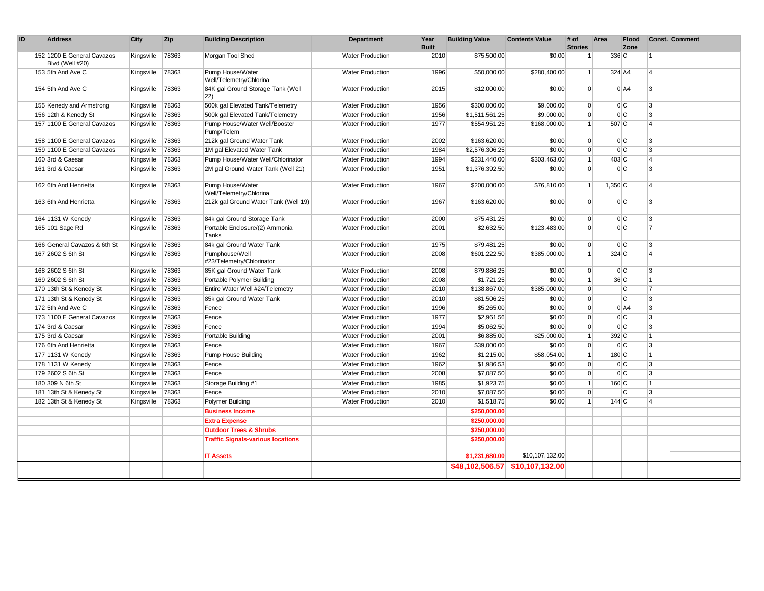| ID | <b>Address</b>                                     | City       | Zip            | <b>Building Description</b>                               | Department                                         | Year<br><b>Built</b> | <b>Building Value</b>        | <b>Contents Value</b> | # of<br><b>Stories</b>      | Area               | <b>Flood</b><br>Zone |                              | <b>Const. Comment</b> |
|----|----------------------------------------------------|------------|----------------|-----------------------------------------------------------|----------------------------------------------------|----------------------|------------------------------|-----------------------|-----------------------------|--------------------|----------------------|------------------------------|-----------------------|
|    | 152 1200 E General Cavazos<br>Blvd (Well #20)      | Kingsville | 78363          | Morgan Tool Shed                                          | <b>Water Production</b>                            | 2010                 | \$75,500.00                  | \$0.00                |                             | 336 C              |                      | 1                            |                       |
|    | 153 5th And Ave C                                  | Kingsville | 78363          | Pump House/Water<br>Well/Telemetry/Chlorina               | <b>Water Production</b>                            | 1996                 | \$50,000.00                  | \$280,400.00          | $\overline{1}$              | 324 A4             |                      | $\overline{4}$               |                       |
|    | 154 5th And Ave C                                  | Kingsville | 78363          | 84K gal Ground Storage Tank (Well<br>22)                  | <b>Water Production</b>                            | 2015                 | \$12,000.00                  | \$0.00                | $\overline{0}$              |                    | $0$ A4               | 3                            |                       |
|    | 155 Kenedy and Armstrong                           | Kingsville | 78363          | 500k gal Elevated Tank/Telemetry                          | <b>Water Production</b>                            | 1956                 | \$300,000.00                 | \$9,000.00            | $\overline{0}$              |                    | 0C                   | 3                            |                       |
|    | 156 12th & Kenedy St                               | Kingsville | 78363          | 500k gal Elevated Tank/Telemetry                          | <b>Water Production</b>                            | 1956                 | \$1,511,561.25               | \$9,000.00            | $\overline{0}$              |                    | 0C                   | $\overline{3}$               |                       |
|    | 157 1100 E General Cavazos                         | Kingsville | 78363          | Pump House/Water Well/Booster<br>Pump/Telem               | <b>Water Production</b>                            | 1977                 | \$554,951.25                 | \$168,000.00          | $\vert$ 1                   | 507 C              |                      | $\Delta$                     |                       |
|    | 158 1100 E General Cavazos                         | Kingsville | 78363          | 212k gal Ground Water Tank                                | <b>Water Production</b>                            | 2002                 | \$163,620.00                 | \$0.00                | $\overline{0}$              |                    | 0C                   | 3                            |                       |
|    | 159 1100 E General Cavazos                         | Kingsville | 78363          | 1M gal Elevated Water Tank                                | <b>Water Production</b>                            | 1984                 | \$2,576,306.25               | \$0.00                | $\overline{0}$              |                    | 0C                   | 3                            |                       |
|    | 160 3rd & Caesar                                   | Kingsville | 78363          | Pump House/Water Well/Chlorinator                         | <b>Water Production</b>                            | 1994                 | \$231,440.00                 | \$303,463.00          | $\vert$ 1                   | $403 \overline{C}$ |                      | $\overline{4}$               |                       |
|    | 161 3rd & Caesar                                   | Kingsville | 78363          | 2M gal Ground Water Tank (Well 21)                        | <b>Water Production</b>                            | 1951                 | \$1,376,392.50               | \$0.00                | $\Omega$                    |                    | 0C                   | 3                            |                       |
|    | 162 6th And Henrietta                              | Kingsville | 78363          | Pump House/Water<br>Well/Telemetry/Chlorina               | <b>Water Production</b>                            | 1967                 | \$200,000.00                 | \$76,810.00           | $\vert$ 1                   | $1,350$ C          |                      | $\overline{\mathbf{A}}$      |                       |
|    | 163 6th And Henrietta                              | Kingsville | 78363          | 212k gal Ground Water Tank (Well 19)                      | <b>Water Production</b>                            | 1967                 | \$163,620.00                 | \$0.00                | $\Omega$                    |                    | 0 C                  | 3                            |                       |
|    | 164 1131 W Kenedy                                  | Kingsville | 78363          | 84k gal Ground Storage Tank                               | <b>Water Production</b>                            | 2000                 | \$75,431.25                  | \$0.00                | $\overline{0}$              |                    | 0C                   | 3                            |                       |
|    | 165 101 Sage Rd                                    | Kingsville | 78363          | Portable Enclosure/(2) Ammonia<br>Tanks                   | <b>Water Production</b>                            | 2001                 | \$2,632.50                   | \$123,483.00          | $\Omega$                    |                    | 0C                   | $\overline{7}$               |                       |
|    | 166 General Cavazos & 6th St                       | Kingsville | 78363          | 84k gal Ground Water Tank                                 | <b>Water Production</b>                            | 1975                 | \$79,481.25                  | \$0.00                | $\overline{0}$              |                    | 0C                   | 3                            |                       |
|    | 167 2602 S 6th St                                  | Kingsville | 78363          | Pumphouse/Well<br>#23/Telemetry/Chlorinator               | <b>Water Production</b>                            | 2008                 | \$601,222.50                 | \$385,000.00          | $\vert$ 1                   | $324$ C            |                      | $\overline{4}$               |                       |
|    | 168 2602 S 6th St                                  | Kingsville | 78363          | 85K gal Ground Water Tank                                 | <b>Water Production</b>                            | 2008                 | \$79,886.25                  | \$0.00                | $\overline{0}$              |                    | 0 C                  | 3                            |                       |
|    | 169 2602 S 6th St                                  | Kingsville | 78363          | Portable Polymer Building                                 | <b>Water Production</b>                            | 2008                 | \$1,721.25                   | \$0.00                | $\vert$ 1                   | 36 C               |                      | $\overline{1}$               |                       |
|    | 170 13th St & Kenedy St                            | Kingsville | 78363          | Entire Water Well #24/Telemetry                           | <b>Water Production</b>                            | 2010                 | \$138,867.00                 | \$385,000.00          | $\overline{0}$              |                    | $\overline{C}$       | $\overline{7}$               |                       |
|    | 171 13th St & Kenedy St                            | Kingsville | 78363          | 85k gal Ground Water Tank                                 | <b>Water Production</b>                            | 2010                 | \$81,506.25                  | \$0.00                | $\overline{0}$              |                    | C                    | 3                            |                       |
|    | 172 5th And Ave C                                  | Kingsville | 78363          | Fence                                                     | <b>Water Production</b>                            | 1996                 | \$5,265.00                   | \$0.00                | $\mathbf 0$                 |                    | $0$ A4               | 3                            |                       |
|    | 173 1100 E General Cavazos                         | Kingsville | 78363          | Fence                                                     | <b>Water Production</b>                            | 1977                 | \$2,961.56                   | \$0.00                | $\overline{0}$              |                    | 0C                   | 3                            |                       |
|    | 174 3rd & Caesar                                   | Kingsville | 78363          | Fence                                                     | <b>Water Production</b>                            | 1994                 | \$5,062.50                   | \$0.00                | $\overline{0}$              |                    | 0 C                  | 3                            |                       |
|    | 175 3rd & Caesar                                   | Kingsville | 78363          | Portable Building                                         | <b>Water Production</b>                            | 2001                 | \$6,885.00                   | \$25,000.00           | $\vert$ 1                   | 392 C              |                      | $\overline{1}$               |                       |
|    | 176 6th And Henrietta                              | Kingsville | 78363          | Fence                                                     | <b>Water Production</b>                            | 1967                 | \$39,000.00                  | \$0.00                | $\Omega$                    |                    | 0C                   | 3                            |                       |
|    | 177 1131 W Kenedy                                  | Kingsville | 78363          | Pump House Building                                       | <b>Water Production</b>                            | 1962                 | \$1,215.00                   | \$58,054.00           | $\vert$ 1                   | 180C               |                      | $\overline{1}$               |                       |
|    | 178 1131 W Kenedy                                  | Kingsville | 78363          | Fence                                                     | <b>Water Production</b>                            | 1962                 | \$1,986.53                   | \$0.00                | $\mathbf 0$                 |                    | 0C                   | 3                            |                       |
|    | 179 2602 S 6th St                                  | Kingsville | 78363          | Fence                                                     | <b>Water Production</b>                            | 2008                 | \$7,087.50                   | \$0.00                | $\overline{0}$              |                    | 0C                   | $\overline{3}$               |                       |
|    | 180 309 N 6th St                                   | Kingsville | 78363          | Storage Building #1                                       | <b>Water Production</b>                            | 1985                 | \$1,923.75                   | \$0.00                | $\vert$ 1                   | 160 C              |                      | $\mathbf{1}$                 |                       |
|    | 181 13th St & Kenedy St<br>182 13th St & Kenedy St | Kingsville | 78363<br>78363 | Fence                                                     | <b>Water Production</b><br><b>Water Production</b> | 2010<br>2010         | \$7,087.50<br>\$1,518.75     | \$0.00<br>\$0.00      | $\overline{0}$<br>$\vert$ 1 | 144C               | C                    | 3<br>$\overline{\mathbf{A}}$ |                       |
|    |                                                    | Kingsville |                | Polymer Building                                          |                                                    |                      |                              |                       |                             |                    |                      |                              |                       |
|    |                                                    |            |                | <b>Business Income</b>                                    |                                                    |                      | \$250,000.00<br>\$250,000.00 |                       |                             |                    |                      |                              |                       |
|    |                                                    |            |                | <b>Extra Expense</b><br><b>Outdoor Trees &amp; Shrubs</b> |                                                    |                      | \$250,000.00                 |                       |                             |                    |                      |                              |                       |
|    |                                                    |            |                | <b>Traffic Signals-various locations</b>                  |                                                    |                      | \$250,000.00                 |                       |                             |                    |                      |                              |                       |
|    |                                                    |            |                |                                                           |                                                    |                      |                              |                       |                             |                    |                      |                              |                       |
|    |                                                    |            |                | <b>IT Assets</b>                                          |                                                    |                      | \$1,231,680.00               | \$10,107,132.00       |                             |                    |                      |                              |                       |
|    |                                                    |            |                |                                                           |                                                    |                      | \$48,102,506.57              | \$10,107,132.00       |                             |                    |                      |                              |                       |